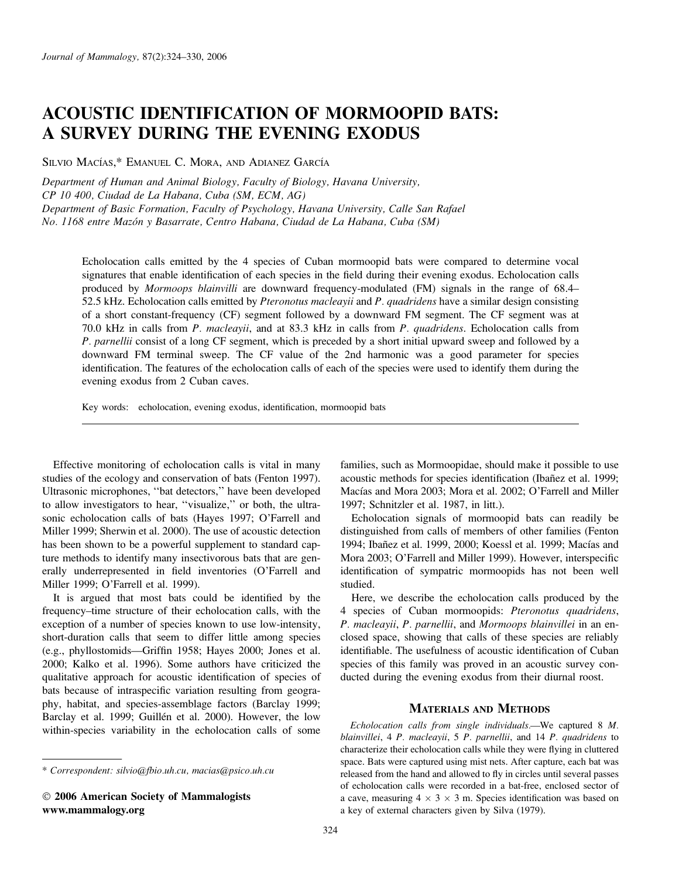# ACOUSTIC IDENTIFICATION OF MORMOOPID BATS: A SURVEY DURING THE EVENING EXODUS

SILVIO MACÍAS,\* EMANUEL C. MORA, AND ADIANEZ GARCÍA

Department of Human and Animal Biology, Faculty of Biology, Havana University, CP 10 400, Ciudad de La Habana, Cuba (SM, ECM, AG) Department of Basic Formation, Faculty of Psychology, Havana University, Calle San Rafael No. 1168 entre Mazón y Basarrate, Centro Habana, Ciudad de La Habana, Cuba (SM)

Echolocation calls emitted by the 4 species of Cuban mormoopid bats were compared to determine vocal signatures that enable identification of each species in the field during their evening exodus. Echolocation calls produced by *Mormoops blainvilli* are downward frequency-modulated (FM) signals in the range of 68.4– 52.5 kHz. Echolocation calls emitted by Pteronotus macleayii and P. quadridens have a similar design consisting of a short constant-frequency (CF) segment followed by a downward FM segment. The CF segment was at 70.0 kHz in calls from P. macleayii, and at 83.3 kHz in calls from P. quadridens. Echolocation calls from P. parnellii consist of a long CF segment, which is preceded by a short initial upward sweep and followed by a downward FM terminal sweep. The CF value of the 2nd harmonic was a good parameter for species identification. The features of the echolocation calls of each of the species were used to identify them during the evening exodus from 2 Cuban caves.

Key words: echolocation, evening exodus, identification, mormoopid bats

Effective monitoring of echolocation calls is vital in many studies of the ecology and conservation of bats (Fenton 1997). Ultrasonic microphones, ''bat detectors,'' have been developed to allow investigators to hear, ''visualize,'' or both, the ultrasonic echolocation calls of bats (Hayes 1997; O'Farrell and Miller 1999; Sherwin et al. 2000). The use of acoustic detection has been shown to be a powerful supplement to standard capture methods to identify many insectivorous bats that are generally underrepresented in field inventories (O'Farrell and Miller 1999; O'Farrell et al. 1999).

It is argued that most bats could be identified by the frequency–time structure of their echolocation calls, with the exception of a number of species known to use low-intensity, short-duration calls that seem to differ little among species (e.g., phyllostomids—Griffin 1958; Hayes 2000; Jones et al. 2000; Kalko et al. 1996). Some authors have criticized the qualitative approach for acoustic identification of species of bats because of intraspecific variation resulting from geography, habitat, and species-assemblage factors (Barclay 1999; Barclay et al. 1999; Guillén et al. 2000). However, the low within-species variability in the echolocation calls of some

\* Correspondent: silvio@fbio.uh.cu, macias@psico.uh.cu

 2006 American Society of Mammalogists www.mammalogy.org

families, such as Mormoopidae, should make it possible to use acoustic methods for species identification (Ibañez et al. 1999; Macías and Mora 2003; Mora et al. 2002; O'Farrell and Miller 1997; Schnitzler et al. 1987, in litt.).

Echolocation signals of mormoopid bats can readily be distinguished from calls of members of other families (Fenton 1994; Ibañez et al. 1999, 2000; Koessl et al. 1999; Macías and Mora 2003; O'Farrell and Miller 1999). However, interspecific identification of sympatric mormoopids has not been well studied.

Here, we describe the echolocation calls produced by the 4 species of Cuban mormoopids: Pteronotus quadridens, P. macleayii, P. parnellii, and Mormoops blainvillei in an enclosed space, showing that calls of these species are reliably identifiable. The usefulness of acoustic identification of Cuban species of this family was proved in an acoustic survey conducted during the evening exodus from their diurnal roost.

# MATERIALS AND METHODS

Echolocation calls from single individuals.—We captured 8 M. blainvillei, 4 P. macleayii, 5 P. parnellii, and 14 P. quadridens to characterize their echolocation calls while they were flying in cluttered space. Bats were captured using mist nets. After capture, each bat was released from the hand and allowed to fly in circles until several passes of echolocation calls were recorded in a bat-free, enclosed sector of a cave, measuring  $4 \times 3 \times 3$  m. Species identification was based on a key of external characters given by Silva (1979).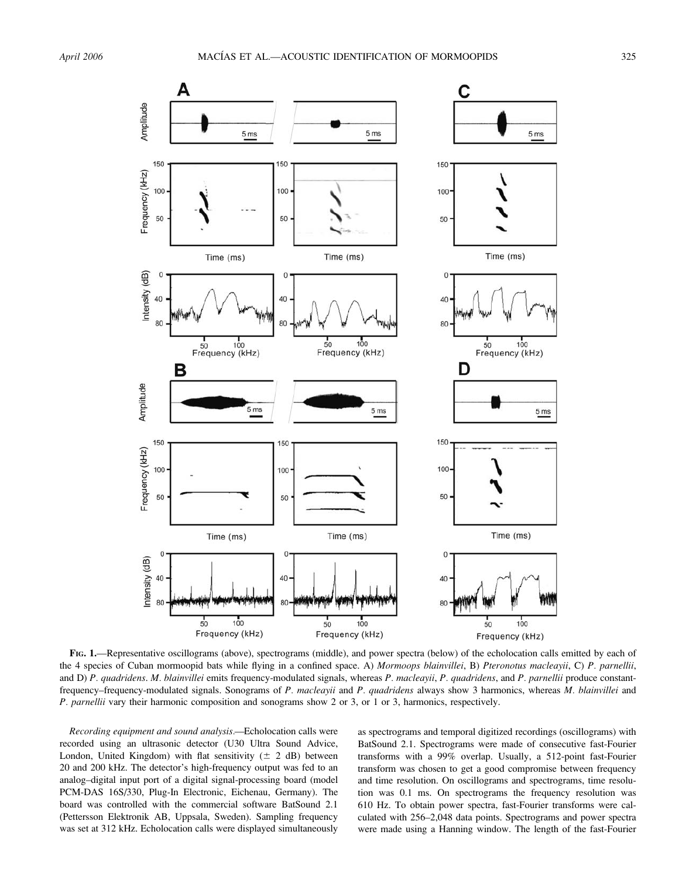

FIG. 1.—Representative oscillograms (above), spectrograms (middle), and power spectra (below) of the echolocation calls emitted by each of the 4 species of Cuban mormoopid bats while flying in a confined space. A) Mormoops blainvillei, B) Pteronotus macleayii, C) P. parnellii, and D) P. quadridens. M. blainvillei emits frequency-modulated signals, whereas P. macleayii, P. quadridens, and P. parnellii produce constantfrequency-frequency-modulated signals. Sonograms of P. macleayii and P. quadridens always show 3 harmonics, whereas M. blainvillei and P. parnellii vary their harmonic composition and sonograms show 2 or 3, or 1 or 3, harmonics, respectively.

Recording equipment and sound analysis.—Echolocation calls were recorded using an ultrasonic detector (U30 Ultra Sound Advice, London, United Kingdom) with flat sensitivity  $(\pm 2 \text{ dB})$  between 20 and 200 kHz. The detector's high-frequency output was fed to an analog–digital input port of a digital signal-processing board (model PCM-DAS 16S/330, Plug-In Electronic, Eichenau, Germany). The board was controlled with the commercial software BatSound 2.1 (Pettersson Elektronik AB, Uppsala, Sweden). Sampling frequency was set at 312 kHz. Echolocation calls were displayed simultaneously

as spectrograms and temporal digitized recordings (oscillograms) with BatSound 2.1. Spectrograms were made of consecutive fast-Fourier transforms with a 99% overlap. Usually, a 512-point fast-Fourier transform was chosen to get a good compromise between frequency and time resolution. On oscillograms and spectrograms, time resolution was 0.1 ms. On spectrograms the frequency resolution was 610 Hz. To obtain power spectra, fast-Fourier transforms were calculated with 256–2,048 data points. Spectrograms and power spectra were made using a Hanning window. The length of the fast-Fourier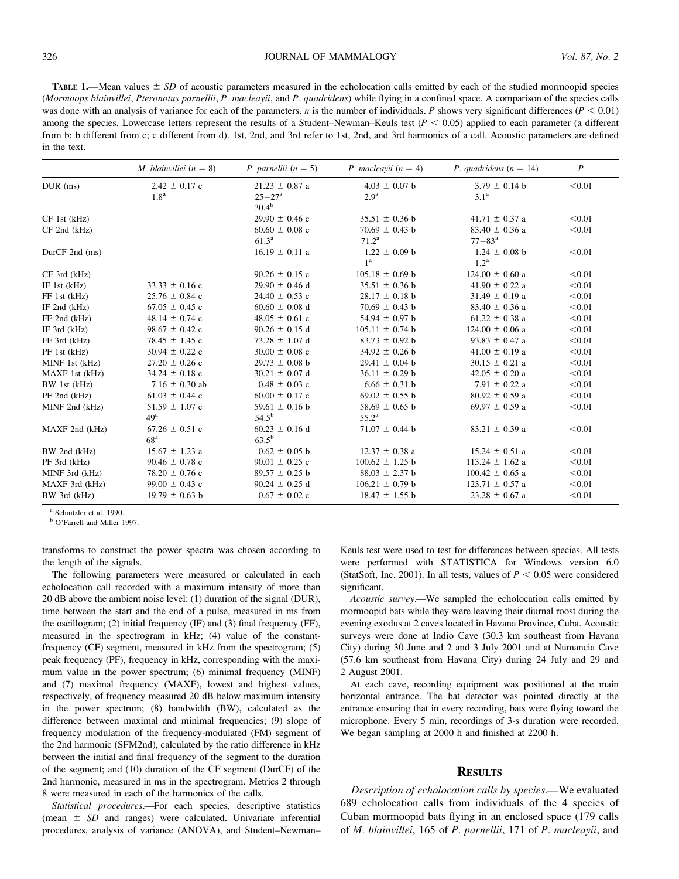**TABLE 1.—Mean values**  $\pm$  SD of acoustic parameters measured in the echolocation calls emitted by each of the studied mormoopid species (Mormoops blainvillei, Pteronotus parnellii, P. macleayii, and P. quadridens) while flying in a confined space. A comparison of the species calls was done with an analysis of variance for each of the parameters. *n* is the number of individuals. *P* shows very significant differences ( $P < 0.01$ ) among the species. Lowercase letters represent the results of a Student–Newman–Keuls test  $(P < 0.05)$  applied to each parameter (a different from b; b different from c; c different from d). 1st, 2nd, and 3rd refer to 1st, 2nd, and 3rd harmonics of a call. Acoustic parameters are defined in the text.

|                    | M. blainvillei $(n = 8)$ | <i>P. parnellii</i> $(n = 5)$ | P. macleayii $(n = 4)$ | P. quadridens $(n = 14)$ | $\boldsymbol{P}$ |
|--------------------|--------------------------|-------------------------------|------------------------|--------------------------|------------------|
| $DUR$ (ms)         | $2.42 \pm 0.17$ c        | $21.23 \pm 0.87$ a            | $4.03 \pm 0.07$ b      | $3.79 \pm 0.14$ b        | < 0.01           |
|                    | 1.8 <sup>a</sup>         | $25 - 27^{\rm a}$             | 2.9 <sup>a</sup>       | 3.1 <sup>a</sup>         |                  |
|                    |                          | $30.4^{b}$                    |                        |                          |                  |
| $CF$ 1st $(kHz)$   |                          | $29.90 \pm 0.46$ c            | $35.51 \pm 0.36$ b     | $41.71 \pm 0.37$ a       | < 0.01           |
| $CF$ 2nd $(kHz)$   |                          | $60.60 \pm 0.08$ c            | $70.69 \pm 0.43$ b     | $83.40 \pm 0.36$ a       | < 0.01           |
|                    |                          | 61.3 <sup>a</sup>             | $71.2^{\rm a}$         | $77 - 83^{\rm a}$        |                  |
| DurCF $2nd$ (ms)   |                          | $16.19 \pm 0.11$ a            | $1.22 \pm 0.09$ b      | $1.24 \pm 0.08$ b        | < 0.01           |
|                    |                          |                               | 1 <sup>a</sup>         | 1.2 <sup>a</sup>         |                  |
| $CF$ 3rd ( $kHz$ ) |                          | $90.26 \pm 0.15$ c            | $105.18 \pm 0.69$ b    | $124.00 \pm 0.60$ a      | < 0.01           |
| IF 1st $(kHz)$     | $33.33 \pm 0.16$ c       | $29.90 \pm 0.46$ d            | $35.51 \pm 0.36$ b     | $41.90 \pm 0.22$ a       | < 0.01           |
| FF 1st (kHz)       | $25.76 \pm 0.84$ c       | $24.40 \pm 0.53$ c            | $28.17 \pm 0.18$ b     | $31.49 \pm 0.19$ a       | < 0.01           |
| IF $2nd$ ( $kHz$ ) | $67.05 \pm 0.45$ c       | $60.60 \pm 0.08$ d            | $70.69 \pm 0.43$ b     | $83.40 \pm 0.36$ a       | < 0.01           |
| FF 2nd (kHz)       | 48.14 $\pm$ 0.74 c       | $48.05 \pm 0.61$ c            | 54.94 $\pm$ 0.97 b     | $61.22 \pm 0.38$ a       | < 0.01           |
| IF $3rd$ ( $kHz$ ) | 98.67 $\pm$ 0.42 c       | $90.26 \pm 0.15$ d            | $105.11 \pm 0.74$ b    | $124.00 \pm 0.06$ a      | < 0.01           |
| FF 3rd (kHz)       | $78.45 \pm 1.45$ c       | 73.28 $\pm$ 1.07 d            | $83.73 \pm 0.92$ b     | $93.83 \pm 0.47$ a       | < 0.01           |
| PF 1st (kHz)       | $30.94 \pm 0.22$ c       | $30.00 \pm 0.08$ c            | $34.92 \pm 0.26$ b     | $41.00 \pm 0.19$ a       | < 0.01           |
| MINF 1st (kHz)     | $27.20 \pm 0.26$ c       | $29.73 \pm 0.08$ b            | $29.41 \pm 0.04$ b     | $30.15 \pm 0.21$ a       | < 0.01           |
| MAXF 1st (kHz)     | $34.24 \pm 0.18$ c       | $30.21 \pm 0.07$ d            | $36.11 \pm 0.29$ b     | $42.05 \pm 0.20$ a       | < 0.01           |
| BW 1st (kHz)       | 7.16 $\pm$ 0.30 ab       | $0.48 \pm 0.03$ c             | $6.66 \pm 0.31$ b      | 7.91 $\pm$ 0.22 a        | < 0.01           |
| $PF$ 2nd $(kHz)$   | $61.03 \pm 0.44$ c       | $60.00 \pm 0.17$ c            | $69.02 \pm 0.55$ b     | $80.92 \pm 0.59$ a       | < 0.01           |
| MINF 2nd (kHz)     | $51.59 \pm 1.07$ c       | 59.61 $\pm$ 0.16 b            | $58.69 \pm 0.65$ b     | $69.97 \pm 0.59$ a       | < 0.01           |
|                    | 49 <sup>a</sup>          | $54.5^{b}$                    | $55.2^{\rm a}$         |                          |                  |
| MAXF 2nd (kHz)     | $67.26 \pm 0.51$ c       | $60.23 \pm 0.16$ d            | $71.07 \pm 0.44$ b     | $83.21 \pm 0.39$ a       | < 0.01           |
|                    | 68 <sup>a</sup>          | $63.5^{b}$                    |                        |                          |                  |
| BW 2nd (kHz)       | $15.67 \pm 1.23$ a       | $0.62 \pm 0.05$ b             | $12.37 \pm 0.38$ a     | $15.24 \pm 0.51$ a       | < 0.01           |
| PF 3rd (kHz)       | $90.46 \pm 0.78$ c       | $90.01 \pm 0.25$ c            | $100.62 \pm 1.25$ b    | $113.24 \pm 1.62$ a      | < 0.01           |
| MINF 3rd (kHz)     | $78.20 \pm 0.76$ c       | $89.57 \pm 0.25$ b            | $88.03 \pm 2.37$ b     | $100.42 \pm 0.65$ a      | < 0.01           |
| MAXF 3rd (kHz)     | $99.00 \pm 0.43$ c       | $90.24 \pm 0.25$ d            | $106.21 \pm 0.79$ b    | $123.71 \pm 0.57$ a      | < 0.01           |
| BW 3rd (kHz)       | $19.79 \pm 0.63$ b       | $0.67 \pm 0.02$ c             | $18.47 \pm 1.55$ b     | $23.28 \pm 0.67$ a       | < 0.01           |

<sup>a</sup> Schnitzler et al. 1990.

**b** O'Farrell and Miller 1997.

transforms to construct the power spectra was chosen according to the length of the signals.

The following parameters were measured or calculated in each echolocation call recorded with a maximum intensity of more than 20 dB above the ambient noise level: (1) duration of the signal (DUR), time between the start and the end of a pulse, measured in ms from the oscillogram; (2) initial frequency (IF) and (3) final frequency (FF), measured in the spectrogram in kHz; (4) value of the constantfrequency (CF) segment, measured in kHz from the spectrogram; (5) peak frequency (PF), frequency in kHz, corresponding with the maximum value in the power spectrum; (6) minimal frequency (MINF) and (7) maximal frequency (MAXF), lowest and highest values, respectively, of frequency measured 20 dB below maximum intensity in the power spectrum; (8) bandwidth (BW), calculated as the difference between maximal and minimal frequencies; (9) slope of frequency modulation of the frequency-modulated (FM) segment of the 2nd harmonic (SFM2nd), calculated by the ratio difference in kHz between the initial and final frequency of the segment to the duration of the segment; and (10) duration of the CF segment (DurCF) of the 2nd harmonic, measured in ms in the spectrogram. Metrics 2 through 8 were measured in each of the harmonics of the calls.

Statistical procedures.—For each species, descriptive statistics (mean  $\pm$  SD and ranges) were calculated. Univariate inferential procedures, analysis of variance (ANOVA), and Student–Newman– Keuls test were used to test for differences between species. All tests were performed with STATISTICA for Windows version 6.0 (StatSoft, Inc. 2001). In all tests, values of  $P < 0.05$  were considered significant.

Acoustic survey.—We sampled the echolocation calls emitted by mormoopid bats while they were leaving their diurnal roost during the evening exodus at 2 caves located in Havana Province, Cuba. Acoustic surveys were done at Indio Cave (30.3 km southeast from Havana City) during 30 June and 2 and 3 July 2001 and at Numancia Cave (57.6 km southeast from Havana City) during 24 July and 29 and 2 August 2001.

At each cave, recording equipment was positioned at the main horizontal entrance. The bat detector was pointed directly at the entrance ensuring that in every recording, bats were flying toward the microphone. Every 5 min, recordings of 3-s duration were recorded. We began sampling at 2000 h and finished at 2200 h.

## **RESULTS**

Description of echolocation calls by species.—We evaluated 689 echolocation calls from individuals of the 4 species of Cuban mormoopid bats flying in an enclosed space (179 calls of M. blainvillei, 165 of P. parnellii, 171 of P. macleayii, and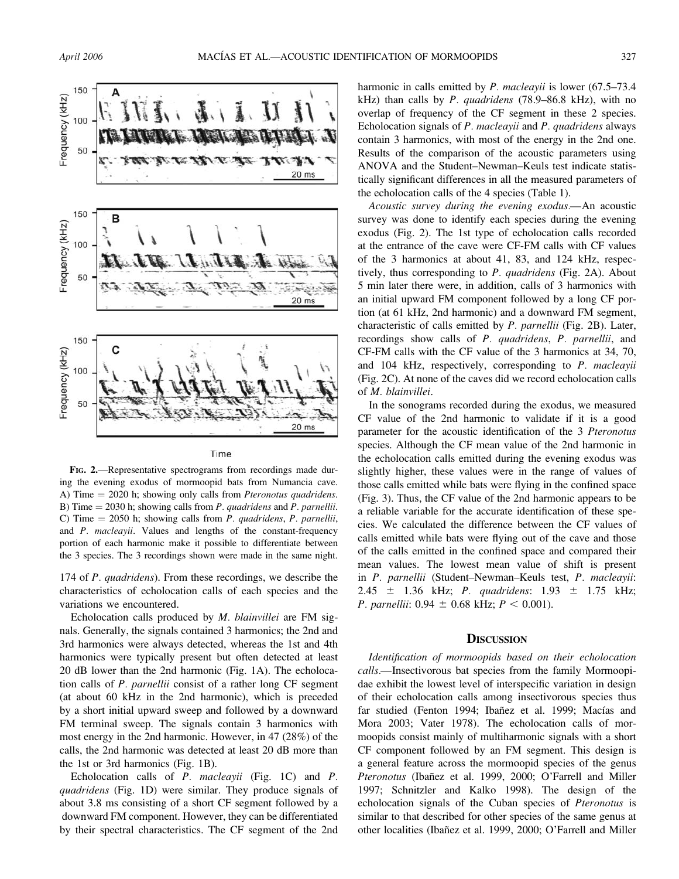

Time

FIG. 2.—Representative spectrograms from recordings made during the evening exodus of mormoopid bats from Numancia cave. A) Time  $= 2020$  h; showing only calls from *Pteronotus quadridens*. B) Time  $= 2030$  h; showing calls from *P. quadridens* and *P. parnellii.* C) Time  $= 2050$  h; showing calls from *P. quadridens*, *P. parnellii*, and P. macleayii. Values and lengths of the constant-frequency portion of each harmonic make it possible to differentiate between the 3 species. The 3 recordings shown were made in the same night.

174 of *P. quadridens*). From these recordings, we describe the characteristics of echolocation calls of each species and the variations we encountered.

Echolocation calls produced by M. blainvillei are FM signals. Generally, the signals contained 3 harmonics; the 2nd and 3rd harmonics were always detected, whereas the 1st and 4th harmonics were typically present but often detected at least 20 dB lower than the 2nd harmonic (Fig. 1A). The echolocation calls of P. parnellii consist of a rather long CF segment (at about 60 kHz in the 2nd harmonic), which is preceded by a short initial upward sweep and followed by a downward FM terminal sweep. The signals contain 3 harmonics with most energy in the 2nd harmonic. However, in 47 (28%) of the calls, the 2nd harmonic was detected at least 20 dB more than the 1st or 3rd harmonics (Fig. 1B).

Echolocation calls of P. macleayii (Fig. 1C) and P. quadridens (Fig. 1D) were similar. They produce signals of about 3.8 ms consisting of a short CF segment followed by a downward FM component. However, they can be differentiated by their spectral characteristics. The CF segment of the 2nd harmonic in calls emitted by *P. macleayii* is lower (67.5–73.4) kHz) than calls by P. quadridens  $(78.9-86.8 \text{ kHz})$ , with no overlap of frequency of the CF segment in these 2 species. Echolocation signals of P. macleayii and P. quadridens always contain 3 harmonics, with most of the energy in the 2nd one. Results of the comparison of the acoustic parameters using ANOVA and the Student–Newman–Keuls test indicate statistically significant differences in all the measured parameters of the echolocation calls of the 4 species (Table 1).

Acoustic survey during the evening exodus.—An acoustic survey was done to identify each species during the evening exodus (Fig. 2). The 1st type of echolocation calls recorded at the entrance of the cave were CF-FM calls with CF values of the 3 harmonics at about 41, 83, and 124 kHz, respectively, thus corresponding to P. quadridens (Fig. 2A). About 5 min later there were, in addition, calls of 3 harmonics with an initial upward FM component followed by a long CF portion (at 61 kHz, 2nd harmonic) and a downward FM segment, characteristic of calls emitted by P. parnellii (Fig. 2B). Later, recordings show calls of P. quadridens, P. parnellii, and CF-FM calls with the CF value of the 3 harmonics at 34, 70, and 104 kHz, respectively, corresponding to P. macleayii (Fig. 2C). At none of the caves did we record echolocation calls of M. blainvillei.

In the sonograms recorded during the exodus, we measured CF value of the 2nd harmonic to validate if it is a good parameter for the acoustic identification of the 3 Pteronotus species. Although the CF mean value of the 2nd harmonic in the echolocation calls emitted during the evening exodus was slightly higher, these values were in the range of values of those calls emitted while bats were flying in the confined space (Fig. 3). Thus, the CF value of the 2nd harmonic appears to be a reliable variable for the accurate identification of these species. We calculated the difference between the CF values of calls emitted while bats were flying out of the cave and those of the calls emitted in the confined space and compared their mean values. The lowest mean value of shift is present in P. parnellii (Student–Newman–Keuls test, P. macleayii: 2.45  $\pm$  1.36 kHz; *P. quadridens:* 1.93  $\pm$  1.75 kHz; *P. parnellii:*  $0.94 \pm 0.68$  kHz;  $P < 0.001$ ).

#### **DISCUSSION**

Identification of mormoopids based on their echolocation calls.—Insectivorous bat species from the family Mormoopidae exhibit the lowest level of interspecific variation in design of their echolocation calls among insectivorous species thus far studied (Fenton 1994; Ibañez et al. 1999; Macías and Mora 2003; Vater 1978). The echolocation calls of mormoopids consist mainly of multiharmonic signals with a short CF component followed by an FM segment. This design is a general feature across the mormoopid species of the genus Pteronotus (Ibañez et al. 1999, 2000; O'Farrell and Miller 1997; Schnitzler and Kalko 1998). The design of the echolocation signals of the Cuban species of Pteronotus is similar to that described for other species of the same genus at other localities (Ibañez et al. 1999, 2000; O'Farrell and Miller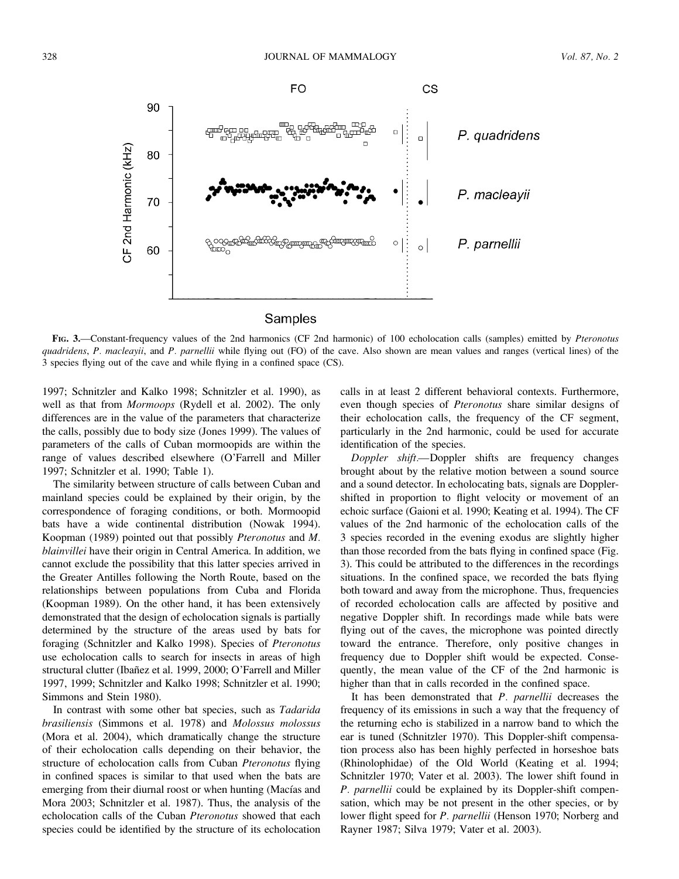

FIG. 3.—Constant-frequency values of the 2nd harmonics (CF 2nd harmonic) of 100 echolocation calls (samples) emitted by Pteronotus quadridens, P. macleayii, and P. parnellii while flying out (FO) of the cave. Also shown are mean values and ranges (vertical lines) of the 3 species flying out of the cave and while flying in a confined space (CS).

1997; Schnitzler and Kalko 1998; Schnitzler et al. 1990), as well as that from Mormoops (Rydell et al. 2002). The only differences are in the value of the parameters that characterize the calls, possibly due to body size (Jones 1999). The values of parameters of the calls of Cuban mormoopids are within the range of values described elsewhere (O'Farrell and Miller 1997; Schnitzler et al. 1990; Table 1).

The similarity between structure of calls between Cuban and mainland species could be explained by their origin, by the correspondence of foraging conditions, or both. Mormoopid bats have a wide continental distribution (Nowak 1994). Koopman (1989) pointed out that possibly Pteronotus and M. blainvillei have their origin in Central America. In addition, we cannot exclude the possibility that this latter species arrived in the Greater Antilles following the North Route, based on the relationships between populations from Cuba and Florida (Koopman 1989). On the other hand, it has been extensively demonstrated that the design of echolocation signals is partially determined by the structure of the areas used by bats for foraging (Schnitzler and Kalko 1998). Species of Pteronotus use echolocation calls to search for insects in areas of high structural clutter (Ibañez et al. 1999, 2000; O'Farrell and Miller 1997, 1999; Schnitzler and Kalko 1998; Schnitzler et al. 1990; Simmons and Stein 1980).

In contrast with some other bat species, such as Tadarida brasiliensis (Simmons et al. 1978) and Molossus molossus (Mora et al. 2004), which dramatically change the structure of their echolocation calls depending on their behavior, the structure of echolocation calls from Cuban Pteronotus flying in confined spaces is similar to that used when the bats are emerging from their diurnal roost or when hunting (Macías and Mora 2003; Schnitzler et al. 1987). Thus, the analysis of the echolocation calls of the Cuban Pteronotus showed that each species could be identified by the structure of its echolocation calls in at least 2 different behavioral contexts. Furthermore, even though species of *Pteronotus* share similar designs of their echolocation calls, the frequency of the CF segment, particularly in the 2nd harmonic, could be used for accurate identification of the species.

Doppler shift.—Doppler shifts are frequency changes brought about by the relative motion between a sound source and a sound detector. In echolocating bats, signals are Dopplershifted in proportion to flight velocity or movement of an echoic surface (Gaioni et al. 1990; Keating et al. 1994). The CF values of the 2nd harmonic of the echolocation calls of the 3 species recorded in the evening exodus are slightly higher than those recorded from the bats flying in confined space (Fig. 3). This could be attributed to the differences in the recordings situations. In the confined space, we recorded the bats flying both toward and away from the microphone. Thus, frequencies of recorded echolocation calls are affected by positive and negative Doppler shift. In recordings made while bats were flying out of the caves, the microphone was pointed directly toward the entrance. Therefore, only positive changes in frequency due to Doppler shift would be expected. Consequently, the mean value of the CF of the 2nd harmonic is higher than that in calls recorded in the confined space.

It has been demonstrated that P. parnellii decreases the frequency of its emissions in such a way that the frequency of the returning echo is stabilized in a narrow band to which the ear is tuned (Schnitzler 1970). This Doppler-shift compensation process also has been highly perfected in horseshoe bats (Rhinolophidae) of the Old World (Keating et al. 1994; Schnitzler 1970; Vater et al. 2003). The lower shift found in P. parnellii could be explained by its Doppler-shift compensation, which may be not present in the other species, or by lower flight speed for P. parnellii (Henson 1970; Norberg and Rayner 1987; Silva 1979; Vater et al. 2003).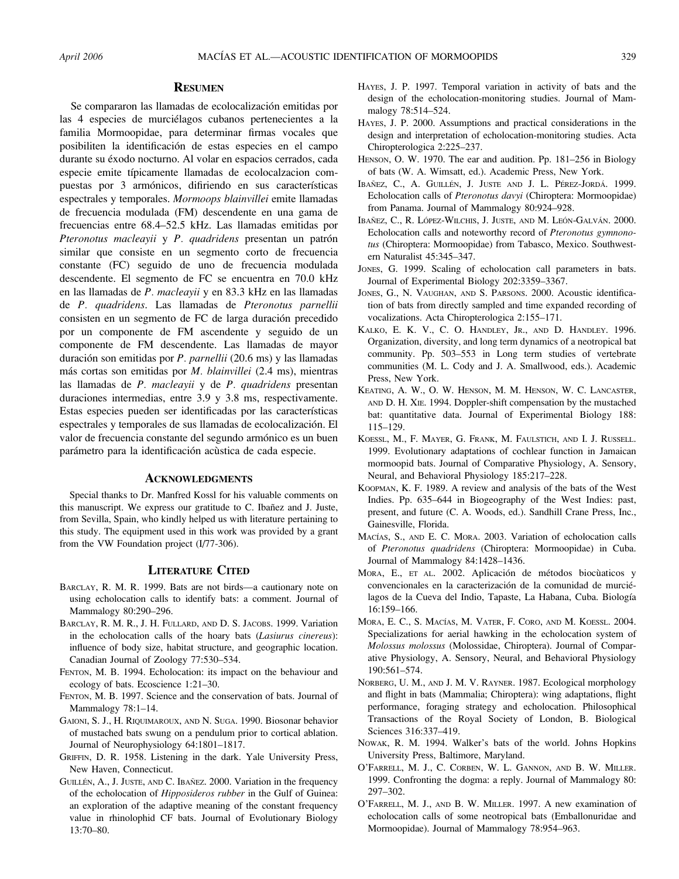#### **RESUMEN**

Se compararon las llamadas de ecolocalización emitidas por las 4 especies de murciélagos cubanos pertenecientes a la familia Mormoopidae, para determinar firmas vocales que posibiliten la identificación de estas especies en el campo durante su éxodo nocturno. Al volar en espacios cerrados, cada especie emite típicamente llamadas de ecolocalzacion compuestas por 3 armónicos, difiriendo en sus características espectrales y temporales. Mormoops blainvillei emite llamadas de frecuencia modulada (FM) descendente en una gama de frecuencias entre 68.4–52.5 kHz. Las llamadas emitidas por Pteronotus macleayii y P. quadridens presentan un patrón similar que consiste en un segmento corto de frecuencia constante (FC) seguido de uno de frecuencia modulada descendente. El segmento de FC se encuentra en 70.0 kHz en las llamadas de P. macleayii y en 83.3 kHz en las llamadas de P. quadridens. Las llamadas de Pteronotus parnellii consisten en un segmento de FC de larga duración precedido por un componente de FM ascendente y seguido de un componente de FM descendente. Las llamadas de mayor duración son emitidas por P. parnellii (20.6 ms) y las llamadas más cortas son emitidas por  $M$ . blainvillei (2.4 ms), mientras las llamadas de P. macleayii y de P. quadridens presentan duraciones intermedias, entre 3.9 y 3.8 ms, respectivamente. Estas especies pueden ser identificadas por las características espectrales y temporales de sus llamadas de ecolocalización. El valor de frecuencia constante del segundo armónico es un buen parámetro para la identificación acùstica de cada especie.

## ACKNOWLEDGMENTS

Special thanks to Dr. Manfred Kossl for his valuable comments on this manuscript. We express our gratitude to C. Ibañez and J. Juste, from Sevilla, Spain, who kindly helped us with literature pertaining to this study. The equipment used in this work was provided by a grant from the VW Foundation project (I/77-306).

#### LITERATURE CITED

- BARCLAY, R. M. R. 1999. Bats are not birds—a cautionary note on using echolocation calls to identify bats: a comment. Journal of Mammalogy 80:290–296.
- BARCLAY, R. M. R., J. H. FULLARD, AND D. S. JACOBS. 1999. Variation in the echolocation calls of the hoary bats (Lasiurus cinereus): influence of body size, habitat structure, and geographic location. Canadian Journal of Zoology 77:530–534.
- FENTON, M. B. 1994. Echolocation: its impact on the behaviour and ecology of bats. Ecoscience 1:21–30.
- FENTON, M. B. 1997. Science and the conservation of bats. Journal of Mammalogy 78:1–14.
- GAIONI, S. J., H. RIQUIMAROUX, AND N. SUGA. 1990. Biosonar behavior of mustached bats swung on a pendulum prior to cortical ablation. Journal of Neurophysiology 64:1801–1817.
- GRIFFIN, D. R. 1958. Listening in the dark. Yale University Press, New Haven, Connecticut.
- GUILLÉN, A., J. JUSTE, AND C. IBAÑEZ. 2000. Variation in the frequency of the echolocation of *Hipposideros rubber* in the Gulf of Guinea: an exploration of the adaptive meaning of the constant frequency value in rhinolophid CF bats. Journal of Evolutionary Biology 13:70–80.
- HAYES, J. P. 1997. Temporal variation in activity of bats and the design of the echolocation-monitoring studies. Journal of Mammalogy 78:514–524.
- HAYES, J. P. 2000. Assumptions and practical considerations in the design and interpretation of echolocation-monitoring studies. Acta Chiropterologica 2:225–237.
- HENSON, O. W. 1970. The ear and audition. Pp. 181–256 in Biology of bats (W. A. Wimsatt, ed.). Academic Press, New York.
- IBAÑEZ, C., A. GUILLÉN, J. JUSTE AND J. L. PÉREZ-JORDÁ. 1999. Echolocation calls of Pteronotus davyi (Chiroptera: Mormoopidae) from Panama. Journal of Mammalogy 80:924–928.
- IBAÑEZ, C., R. LÓPEZ-WILCHIS, J. JUSTE, AND M. LEÓN-GALVÁN. 2000. Echolocation calls and noteworthy record of Pteronotus gymnonotus (Chiroptera: Mormoopidae) from Tabasco, Mexico. Southwestern Naturalist 45:345–347.
- JONES, G. 1999. Scaling of echolocation call parameters in bats. Journal of Experimental Biology 202:3359–3367.
- JONES, G., N. VAUGHAN, AND S. PARSONS. 2000. Acoustic identification of bats from directly sampled and time expanded recording of vocalizations. Acta Chiropterologica 2:155–171.
- KALKO, E. K. V., C. O. HANDLEY, JR., AND D. HANDLEY. 1996. Organization, diversity, and long term dynamics of a neotropical bat community. Pp. 503–553 in Long term studies of vertebrate communities (M. L. Cody and J. A. Smallwood, eds.). Academic Press, New York.
- KEATING, A. W., O. W. HENSON, M. M. HENSON, W. C. LANCASTER, AND D. H. XIE. 1994. Doppler-shift compensation by the mustached bat: quantitative data. Journal of Experimental Biology 188: 115–129.
- KOESSL, M., F. MAYER, G. FRANK, M. FAULSTICH, AND I. J. RUSSELL. 1999. Evolutionary adaptations of cochlear function in Jamaican mormoopid bats. Journal of Comparative Physiology, A. Sensory, Neural, and Behavioral Physiology 185:217–228.
- KOOPMAN, K. F. 1989. A review and analysis of the bats of the West Indies. Pp. 635–644 in Biogeography of the West Indies: past, present, and future (C. A. Woods, ed.). Sandhill Crane Press, Inc., Gainesville, Florida.
- MACÍAS, S., AND E. C. MORA. 2003. Variation of echolocation calls of Pteronotus quadridens (Chiroptera: Mormoopidae) in Cuba. Journal of Mammalogy 84:1428–1436.
- MORA, E., ET AL. 2002. Aplicación de métodos biocùaticos y convencionales en la caracterización de la comunidad de murciélagos de la Cueva del Indio, Tapaste, La Habana, Cuba. Biología 16:159–166.
- MORA, E. C., S. MACÍAS, M. VATER, F. CORO, AND M. KOESSL. 2004. Specializations for aerial hawking in the echolocation system of Molossus molossus (Molossidae, Chiroptera). Journal of Comparative Physiology, A. Sensory, Neural, and Behavioral Physiology 190:561–574.
- NORBERG, U. M., AND J. M. V. RAYNER. 1987. Ecological morphology and flight in bats (Mammalia; Chiroptera): wing adaptations, flight performance, foraging strategy and echolocation. Philosophical Transactions of the Royal Society of London, B. Biological Sciences 316:337–419.
- NOWAK, R. M. 1994. Walker's bats of the world. Johns Hopkins University Press, Baltimore, Maryland.
- O'FARRELL, M. J., C. CORBEN, W. L. GANNON, AND B. W. MILLER. 1999. Confronting the dogma: a reply. Journal of Mammalogy 80: 297–302.
- O'FARRELL, M. J., AND B. W. MILLER. 1997. A new examination of echolocation calls of some neotropical bats (Emballonuridae and Mormoopidae). Journal of Mammalogy 78:954–963.